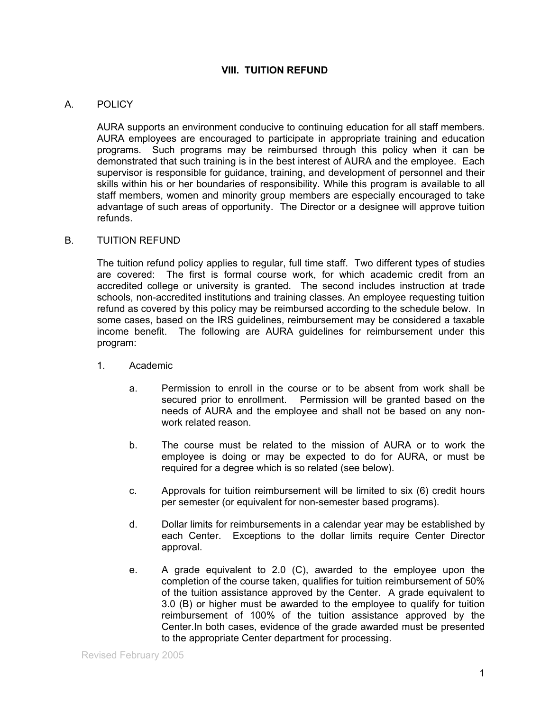## **VIII. TUITION REFUND**

## A. POLICY

AURA supports an environment conducive to continuing education for all staff members. AURA employees are encouraged to participate in appropriate training and education programs. Such programs may be reimbursed through this policy when it can be demonstrated that such training is in the best interest of AURA and the employee. Each supervisor is responsible for guidance, training, and development of personnel and their skills within his or her boundaries of responsibility. While this program is available to all staff members, women and minority group members are especially encouraged to take advantage of such areas of opportunity. The Director or a designee will approve tuition refunds.

## B. TUITION REFUND

The tuition refund policy applies to regular, full time staff. Two different types of studies are covered: The first is formal course work, for which academic credit from an accredited college or university is granted. The second includes instruction at trade schools, non-accredited institutions and training classes. An employee requesting tuition refund as covered by this policy may be reimbursed according to the schedule below. In some cases, based on the IRS guidelines, reimbursement may be considered a taxable income benefit. The following are AURA guidelines for reimbursement under this program:

- 1. Academic
	- a. Permission to enroll in the course or to be absent from work shall be secured prior to enrollment. Permission will be granted based on the needs of AURA and the employee and shall not be based on any nonwork related reason
	- b. The course must be related to the mission of AURA or to work the employee is doing or may be expected to do for AURA, or must be required for a degree which is so related (see below).
	- c. Approvals for tuition reimbursement will be limited to six (6) credit hours per semester (or equivalent for non-semester based programs).
	- d. Dollar limits for reimbursements in a calendar year may be established by each Center. Exceptions to the dollar limits require Center Director approval.
	- e. A grade equivalent to 2.0 (C), awarded to the employee upon the completion of the course taken, qualifies for tuition reimbursement of 50% of the tuition assistance approved by the Center. A grade equivalent to 3.0 (B) or higher must be awarded to the employee to qualify for tuition reimbursement of 100% of the tuition assistance approved by the Center.In both cases, evidence of the grade awarded must be presented to the appropriate Center department for processing.